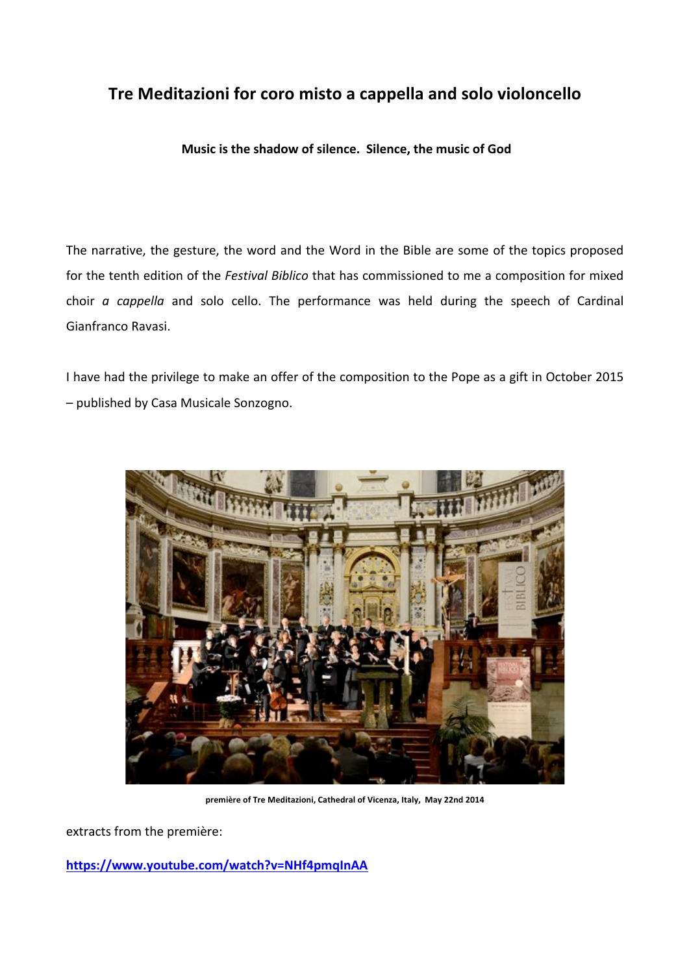## Tre Meditazioni for coro misto a cappella and solo violoncello

Music is the shadow of silence. Silence, the music of God

The narrative, the gesture, the word and the Word in the Bible are some of the topics proposed for the tenth edition of the Festival Biblico that has commissioned to me a composition for mixed choir  $a$  cappella and solo cello. The performance was held during the speech of Cardinal Gianfranco Ravasi.

I have had the privilege to make an offer of the composition to the Pope as a gift in October 2015 - published by Casa Musicale Sonzogno.



première of Tre Meditazioni, Cathedral of Vicenza, Italy, May 22nd 2014

extracts from the première:

https://www.youtube.com/watch?v=NHf4pmqInAA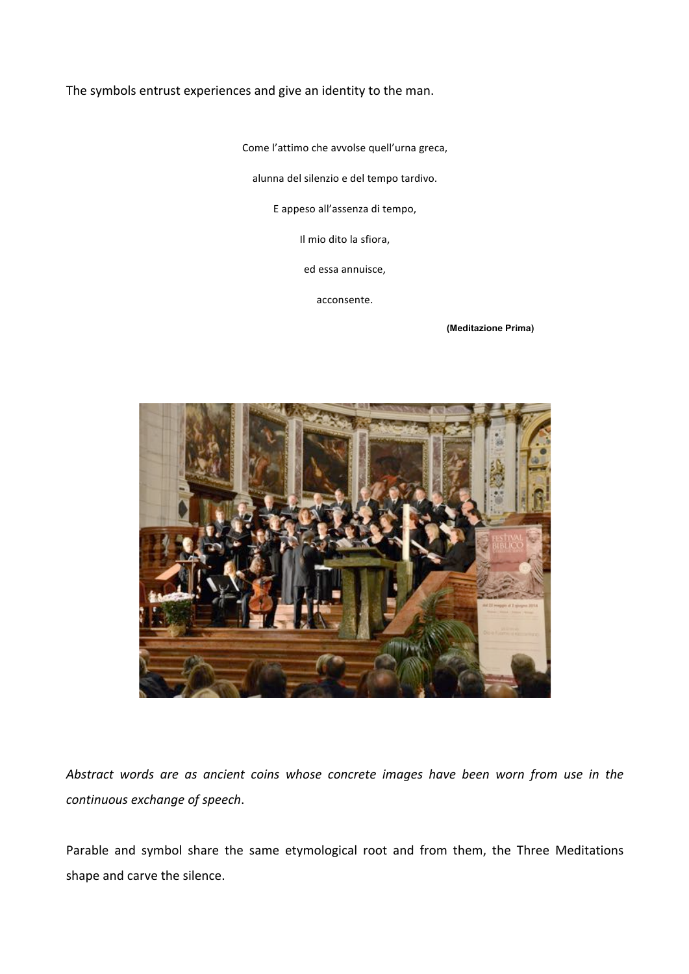The symbols entrust experiences and give an identity to the man.

Come l'attimo che avvolse quell'urna greca,

alunna del silenzio e del tempo tardivo.

E appeso all'assenza di tempo,

Il mio dito la sfiora,

ed essa annuisce,

acconsente.

 **(Meditazione Prima)** 



*Abstract) words) are) as) ancient) coins) whose) concrete) images) have) been) worn) from) use) in) the)* continuous exchange of speech.

Parable and symbol share the same etymological root and from them, the Three Meditations shape and carve the silence.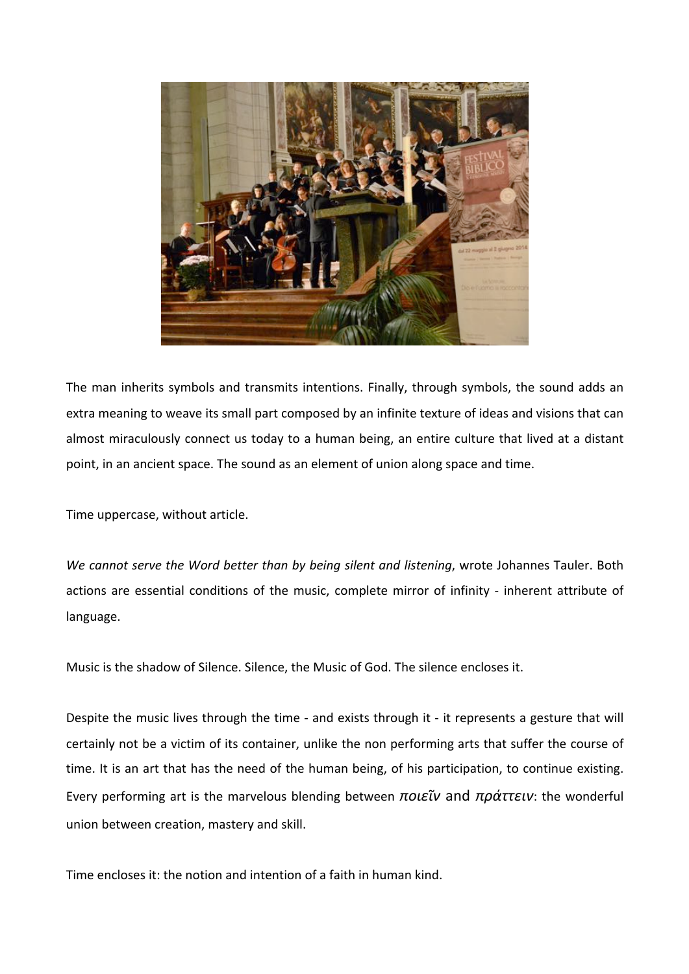

The man inherits symbols and transmits intentions. Finally, through symbols, the sound adds an extra meaning to weave its small part composed by an infinite texture of ideas and visions that can almost miraculously connect us today to a human being, an entire culture that lived at a distant point, in an ancient space. The sound as an element of union along space and time.

Time uppercase, without article.

*We cannot serve the Word better than by being silent and listening, wrote Johannes Tauler. Both* actions are essential conditions of the music, complete mirror of infinity - inherent attribute of language.

Music is the shadow of Silence. Silence, the Music of God. The silence encloses it.

Despite the music lives through the time - and exists through it - it represents a gesture that will certainly not be a victim of its container, unlike the non performing arts that suffer the course of time. It is an art that has the need of the human being, of his participation, to continue existing. Every performing art is the marvelous blending between *ποιεῖν* and *πράττειν*: the wonderful union between creation, mastery and skill.

Time encloses it: the notion and intention of a faith in human kind.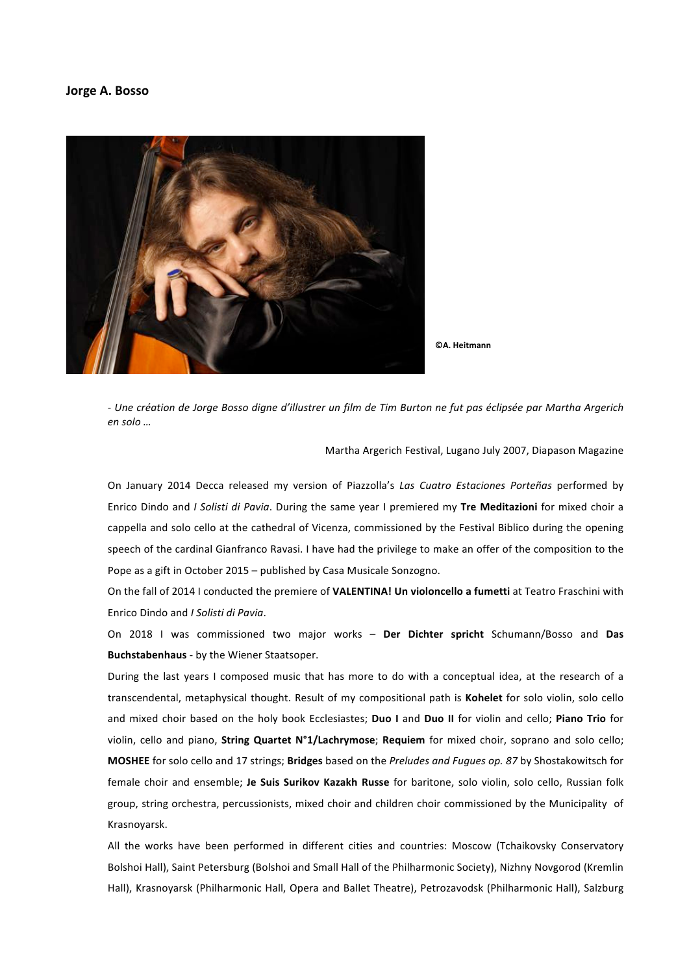## Jorge A. Bosso



**CA.** Heitmann

- Une création de Jorge Bosso digne d'illustrer un film de Tim Burton ne fut pas éclipsée par Martha Argerich en solo ...

Martha Argerich Festival, Lugano July 2007, Diapason Magazine

On January 2014 Decca released my version of Piazzolla's Las Cuatro Estaciones Porteñas performed by Enrico Dindo and I Solisti di Pavia. During the same year I premiered my Tre Meditazioni for mixed choir a cappella and solo cello at the cathedral of Vicenza, commissioned by the Festival Biblico during the opening speech of the cardinal Gianfranco Ravasi. I have had the privilege to make an offer of the composition to the Pope as a gift in October 2015 - published by Casa Musicale Sonzogno.

On the fall of 2014 I conducted the premiere of VALENTINA! Un violoncello a fumetti at Teatro Fraschini with Enrico Dindo and I Solisti di Pavia.

On 2018 I was commissioned two major works - Der Dichter spricht Schumann/Bosso and Das Buchstabenhaus - by the Wiener Staatsoper.

During the last years I composed music that has more to do with a conceptual idea, at the research of a transcendental, metaphysical thought. Result of my compositional path is Kohelet for solo violin, solo cello and mixed choir based on the holy book Ecclesiastes; Duo I and Duo II for violin and cello; Piano Trio for violin, cello and piano, String Quartet N°1/Lachrymose; Requiem for mixed choir, soprano and solo cello; MOSHEE for solo cello and 17 strings; Bridges based on the Preludes and Fugues op. 87 by Shostakowitsch for female choir and ensemble; Je Suis Surikov Kazakh Russe for baritone, solo violin, solo cello, Russian folk group, string orchestra, percussionists, mixed choir and children choir commissioned by the Municipality of Krasnovarsk.

All the works have been performed in different cities and countries: Moscow (Tchaikovsky Conservatory Bolshoi Hall), Saint Petersburg (Bolshoi and Small Hall of the Philharmonic Society), Nizhny Novgorod (Kremlin Hall), Krasnoyarsk (Philharmonic Hall, Opera and Ballet Theatre), Petrozavodsk (Philharmonic Hall), Salzburg